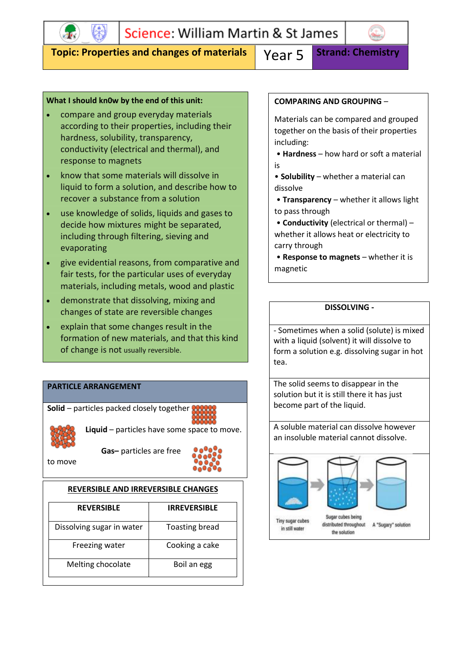

### **Topic: Properties and changes of materials** Year 5 Strand: Chemistry

#### **What I should kn0w by the end of this unit:**

- compare and group everyday materials according to their properties, including their hardness, solubility, transparency, conductivity (electrical and thermal), and response to magnets
- know that some materials will dissolve in liquid to form a solution, and describe how to recover a substance from a solution
- use knowledge of solids, liquids and gases to decide how mixtures might be separated, including through filtering, sieving and evaporating
- give evidential reasons, from comparative and fair tests, for the particular uses of everyday materials, including metals, wood and plastic
- demonstrate that dissolving, mixing and changes of state are reversible changes
- explain that some changes result in the formation of new materials, and that this kind of change is not usually reversible.

#### **PARTICLE ARRANGEMENT**

**Solid** – particles packed closely together



**Liquid** – particles have some space to move.

to move

**Gas–** particles are free



#### **REVERSIBLE AND IRREVERSIBLE CHANGES**

| <b>REVERSIBLE</b>         | <b>IRREVERSIBLE</b>   |
|---------------------------|-----------------------|
| Dissolving sugar in water | <b>Toasting bread</b> |
| Freezing water            | Cooking a cake        |
| Melting chocolate         | Boil an egg           |

#### **COMPARING AND GROUPING** –

Materials can be compared and grouped together on the basis of their properties including:

• **Hardness** – how hard or soft a material is

• **Solubility** – whether a material can dissolve

• **Transparency** – whether it allows light to pass through

• **Conductivity** (electrical or thermal) – whether it allows heat or electricity to carry through

• **Response to magnets** – whether it is magnetic

#### **DISSOLVING -**

- Sometimes when a solid (solute) is mixed with a liquid (solvent) it will dissolve to form a solution e.g. dissolving sugar in hot tea.

The solid seems to disappear in the solution but it is still there it has just become part of the liquid.

A soluble material can dissolve however an insoluble material cannot dissolve.

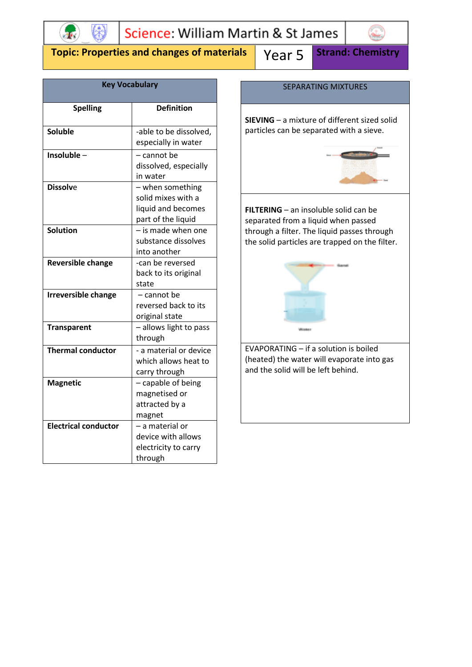

## **Topic: Properties and changes of materials | Year 5 Strand: Chemistry**

| <b>Key Vocabulary</b>       |                                                                                    |  |  |
|-----------------------------|------------------------------------------------------------------------------------|--|--|
| <b>Spelling</b>             | <b>Definition</b>                                                                  |  |  |
| <b>Soluble</b>              | -able to be dissolved,<br>especially in water                                      |  |  |
| Insoluble-                  | – cannot be<br>dissolved, especially<br>in water                                   |  |  |
| <b>Dissolve</b>             | - when something<br>solid mixes with a<br>liquid and becomes<br>part of the liquid |  |  |
| <b>Solution</b>             | - is made when one<br>substance dissolves<br>into another                          |  |  |
| <b>Reversible change</b>    | -can be reversed<br>back to its original<br>state                                  |  |  |
| <b>Irreversible change</b>  | - cannot be<br>reversed back to its<br>original state                              |  |  |
| <b>Transparent</b>          | - allows light to pass<br>through                                                  |  |  |
| <b>Thermal conductor</b>    | - a material or device<br>which allows heat to<br>carry through                    |  |  |
| <b>Magnetic</b>             | - capable of being<br>magnetised or<br>attracted by a<br>magnet                    |  |  |
| <b>Electrical conductor</b> | - a material or<br>device with allows<br>electricity to carry<br>through           |  |  |